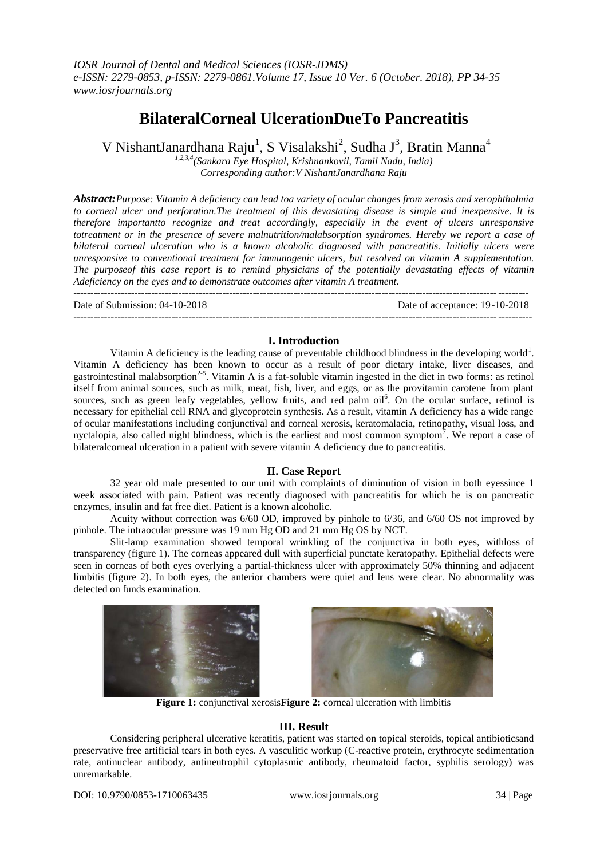# **BilateralCorneal UlcerationDueTo Pancreatitis**

V NishantJanardhana Raju<sup>1</sup>, S Visalakshi<sup>2</sup>, Sudha J<sup>3</sup>, Bratin Manna<sup>4</sup>

*1,2,3,4(Sankara Eye Hospital, Krishnankovil, Tamil Nadu, India) Corresponding author:V NishantJanardhana Raju*

*Abstract:Purpose: Vitamin A deficiency can lead toa variety of ocular changes from xerosis and xerophthalmia to corneal ulcer and perforation.The treatment of this devastating disease is simple and inexpensive. It is therefore importantto recognize and treat accordingly, especially in the event of ulcers unresponsive totreatment or in the presence of severe malnutrition/malabsorption syndromes. Hereby we report a case of bilateral corneal ulceration who is a known alcoholic diagnosed with pancreatitis. Initially ulcers were unresponsive to conventional treatment for immunogenic ulcers, but resolved on vitamin A supplementation. The purposeof this case report is to remind physicians of the potentially devastating effects of vitamin Adeficiency on the eyes and to demonstrate outcomes after vitamin A treatment.*

--------------------------------------------------------------------------------------------------------------------------------------

Date of Submission: 04-10-2018 Date of acceptance: 19-10-2018  $-1\leq i\leq n-1$ 

## **I. Introduction**

Vitamin A deficiency is the leading cause of preventable childhood blindness in the developing world<sup>1</sup>. Vitamin A deficiency has been known to occur as a result of poor dietary intake, liver diseases, and gastrointestinal malabsorption<sup>2-5</sup>. Vitamin A is a fat-soluble vitamin ingested in the diet in two forms: as retinol itself from animal sources, such as milk, meat, fish, liver, and eggs, or as the provitamin carotene from plant sources, such as green leafy vegetables, yellow fruits, and red palm oil<sup>6</sup>. On the ocular surface, retinol is necessary for epithelial cell RNA and glycoprotein synthesis. As a result, vitamin A deficiency has a wide range of ocular manifestations including conjunctival and corneal xerosis, keratomalacia, retinopathy, visual loss, and nyctalopia, also called night blindness, which is the earliest and most common symptom<sup>7</sup>. We report a case of bilateralcorneal ulceration in a patient with severe vitamin A deficiency due to pancreatitis.

## **II. Case Report**

32 year old male presented to our unit with complaints of diminution of vision in both eyessince 1 week associated with pain. Patient was recently diagnosed with pancreatitis for which he is on pancreatic enzymes, insulin and fat free diet. Patient is a known alcoholic.

Acuity without correction was 6/60 OD, improved by pinhole to 6/36, and 6/60 OS not improved by pinhole. The intraocular pressure was 19 mm Hg OD and 21 mm Hg OS by NCT.

Slit-lamp examination showed temporal wrinkling of the conjunctiva in both eyes, withloss of transparency (figure 1). The corneas appeared dull with superficial punctate keratopathy. Epithelial defects were seen in corneas of both eyes overlying a partial-thickness ulcer with approximately 50% thinning and adjacent limbitis (figure 2). In both eyes, the anterior chambers were quiet and lens were clear. No abnormality was detected on funds examination.





**Figure 1:** conjunctival xerosis**Figure 2:** corneal ulceration with limbitis

## **III. Result**

Considering peripheral ulcerative keratitis, patient was started on topical steroids, topical antibioticsand preservative free artificial tears in both eyes. A vasculitic workup (C-reactive protein, erythrocyte sedimentation rate, antinuclear antibody, antineutrophil cytoplasmic antibody, rheumatoid factor, syphilis serology) was unremarkable.